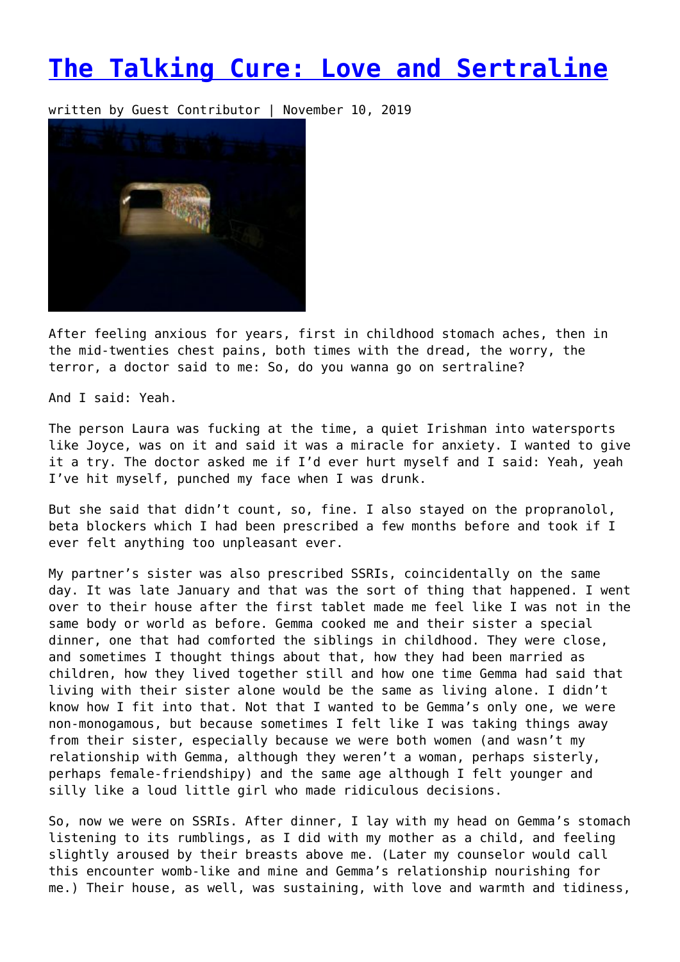## **[The Talking Cure: Love and Sertraline](https://entropymag.org/the-talking-cure-love-and-sertraline/)**

written by Guest Contributor | November 10, 2019



After feeling anxious for years, first in childhood stomach aches, then in the mid-twenties chest pains, both times with the dread, the worry, the terror, a doctor said to me: So, do you wanna go on sertraline?

And I said: Yeah.

The person Laura was fucking at the time, a quiet Irishman into watersports like Joyce, was on it and said it was a miracle for anxiety. I wanted to give it a try. The doctor asked me if I'd ever hurt myself and I said: Yeah, yeah I've hit myself, punched my face when I was drunk.

But she said that didn't count, so, fine. I also stayed on the propranolol, beta blockers which I had been prescribed a few months before and took if I ever felt anything too unpleasant ever.

My partner's sister was also prescribed SSRIs, coincidentally on the same day. It was late January and that was the sort of thing that happened. I went over to their house after the first tablet made me feel like I was not in the same body or world as before. Gemma cooked me and their sister a special dinner, one that had comforted the siblings in childhood. They were close, and sometimes I thought things about that, how they had been married as children, how they lived together still and how one time Gemma had said that living with their sister alone would be the same as living alone. I didn't know how I fit into that. Not that I wanted to be Gemma's only one, we were non-monogamous, but because sometimes I felt like I was taking things away from their sister, especially because we were both women (and wasn't my relationship with Gemma, although they weren't a woman, perhaps sisterly, perhaps female-friendshipy) and the same age although I felt younger and silly like a loud little girl who made ridiculous decisions.

So, now we were on SSRIs. After dinner, I lay with my head on Gemma's stomach listening to its rumblings, as I did with my mother as a child, and feeling slightly aroused by their breasts above me. (Later my counselor would call this encounter womb-like and mine and Gemma's relationship nourishing for me.) Their house, as well, was sustaining, with love and warmth and tidiness,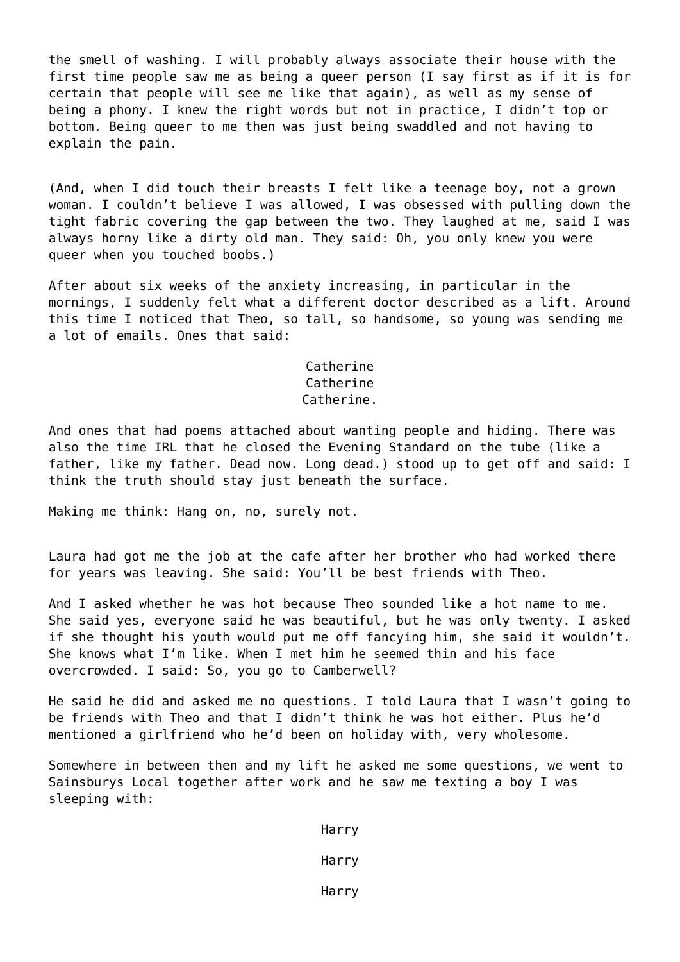the smell of washing. I will probably always associate their house with the first time people saw me as being a queer person (I say first as if it is for certain that people will see me like that again), as well as my sense of being a phony. I knew the right words but not in practice, I didn't top or bottom. Being queer to me then was just being swaddled and not having to explain the pain.

(And, when I did touch their breasts I felt like a teenage boy, not a grown woman. I couldn't believe I was allowed, I was obsessed with pulling down the tight fabric covering the gap between the two. They laughed at me, said I was always horny like a dirty old man. They said: Oh, you only knew you were queer when you touched boobs.)

After about six weeks of the anxiety increasing, in particular in the mornings, I suddenly felt what a different doctor described as a lift. Around this time I noticed that Theo, so tall, so handsome, so young was sending me a lot of emails. Ones that said:

## Catherine Catherine Catherine.

And ones that had poems attached about wanting people and hiding. There was also the time IRL that he closed the Evening Standard on the tube (like a father, like my father. Dead now. Long dead.) stood up to get off and said: I think the truth should stay just beneath the surface.

Making me think: Hang on, no, surely not.

Laura had got me the job at the cafe after her brother who had worked there for years was leaving. She said: You'll be best friends with Theo.

And I asked whether he was hot because Theo sounded like a hot name to me. She said yes, everyone said he was beautiful, but he was only twenty. I asked if she thought his youth would put me off fancying him, she said it wouldn't. She knows what I'm like. When I met him he seemed thin and his face overcrowded. I said: So, you go to Camberwell?

He said he did and asked me no questions. I told Laura that I wasn't going to be friends with Theo and that I didn't think he was hot either. Plus he'd mentioned a girlfriend who he'd been on holiday with, very wholesome.

Somewhere in between then and my lift he asked me some questions, we went to Sainsburys Local together after work and he saw me texting a boy I was sleeping with:

Harry

Harry

Harry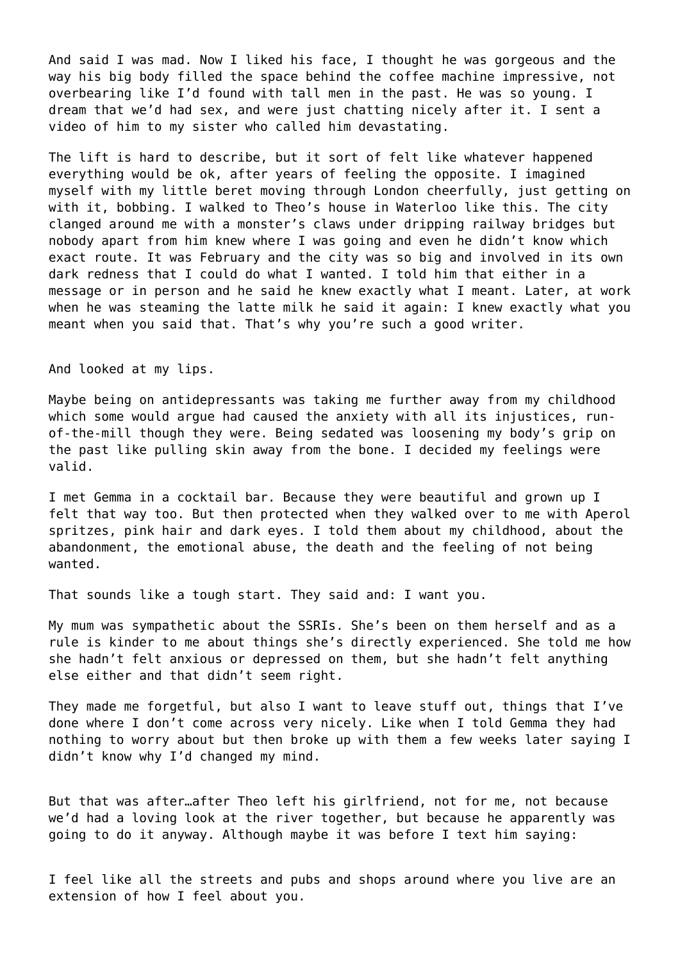And said I was mad. Now I liked his face, I thought he was gorgeous and the way his big body filled the space behind the coffee machine impressive, not overbearing like I'd found with tall men in the past. He was so young. I dream that we'd had sex, and were just chatting nicely after it. I sent a video of him to my sister who called him devastating.

The lift is hard to describe, but it sort of felt like whatever happened everything would be ok, after years of feeling the opposite. I imagined myself with my little beret moving through London cheerfully, just getting on with it, bobbing. I walked to Theo's house in Waterloo like this. The city clanged around me with a monster's claws under dripping railway bridges but nobody apart from him knew where I was going and even he didn't know which exact route. It was February and the city was so big and involved in its own dark redness that I could do what I wanted. I told him that either in a message or in person and he said he knew exactly what I meant. Later, at work when he was steaming the latte milk he said it again: I knew exactly what you meant when you said that. That's why you're such a good writer.

And looked at my lips.

Maybe being on antidepressants was taking me further away from my childhood which some would argue had caused the anxiety with all its injustices, runof-the-mill though they were. Being sedated was loosening my body's grip on the past like pulling skin away from the bone. I decided my feelings were valid.

I met Gemma in a cocktail bar. Because they were beautiful and grown up I felt that way too. But then protected when they walked over to me with Aperol spritzes, pink hair and dark eyes. I told them about my childhood, about the abandonment, the emotional abuse, the death and the feeling of not being wanted.

That sounds like a tough start. They said and: I want you.

My mum was sympathetic about the SSRIs. She's been on them herself and as a rule is kinder to me about things she's directly experienced. She told me how she hadn't felt anxious or depressed on them, but she hadn't felt anything else either and that didn't seem right.

They made me forgetful, but also I want to leave stuff out, things that I've done where I don't come across very nicely. Like when I told Gemma they had nothing to worry about but then broke up with them a few weeks later saying I didn't know why I'd changed my mind.

But that was after…after Theo left his girlfriend, not for me, not because we'd had a loving look at the river together, but because he apparently was going to do it anyway. Although maybe it was before I text him saying:

I feel like all the streets and pubs and shops around where you live are an extension of how I feel about you.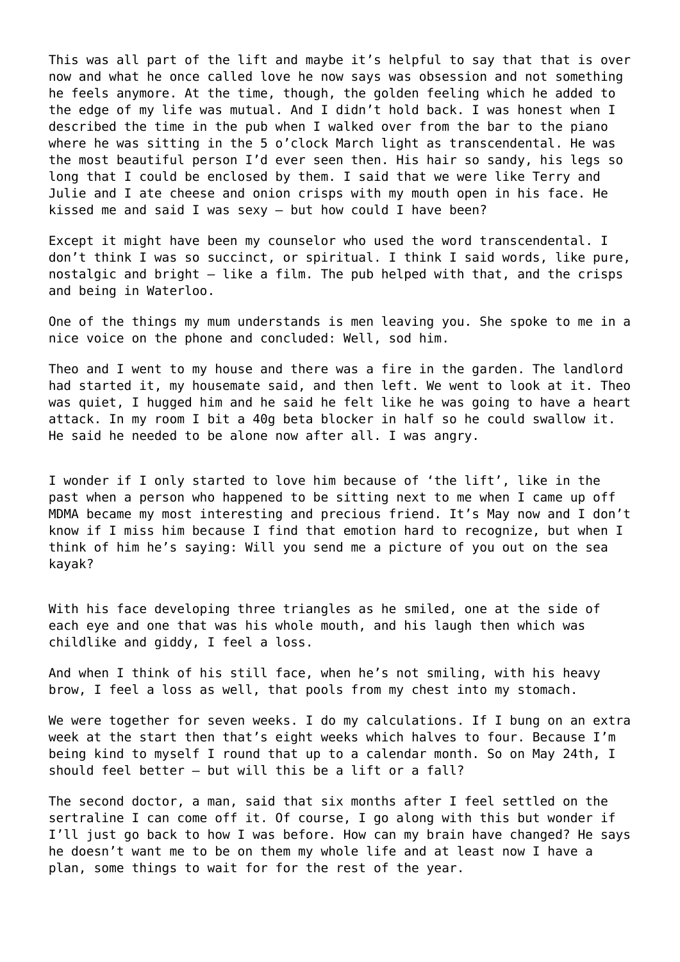This was all part of the lift and maybe it's helpful to say that that is over now and what he once called love he now says was obsession and not something he feels anymore. At the time, though, the golden feeling which he added to the edge of my life was mutual. And I didn't hold back. I was honest when I described the time in the pub when I walked over from the bar to the piano where he was sitting in the 5 o'clock March light as transcendental. He was the most beautiful person I'd ever seen then. His hair so sandy, his legs so long that I could be enclosed by them. I said that we were like Terry and Julie and I ate cheese and onion crisps with my mouth open in his face. He kissed me and said I was sexy – but how could I have been?

Except it might have been my counselor who used the word transcendental. I don't think I was so succinct, or spiritual. I think I said words, like pure, nostalgic and bright – like a film. The pub helped with that, and the crisps and being in Waterloo.

One of the things my mum understands is men leaving you. She spoke to me in a nice voice on the phone and concluded: Well, sod him.

Theo and I went to my house and there was a fire in the garden. The landlord had started it, my housemate said, and then left. We went to look at it. Theo was quiet, I hugged him and he said he felt like he was going to have a heart attack. In my room I bit a 40g beta blocker in half so he could swallow it. He said he needed to be alone now after all. I was angry.

I wonder if I only started to love him because of 'the lift', like in the past when a person who happened to be sitting next to me when I came up off MDMA became my most interesting and precious friend. It's May now and I don't know if I miss him because I find that emotion hard to recognize, but when I think of him he's saying: Will you send me a picture of you out on the sea kayak?

With his face developing three triangles as he smiled, one at the side of each eye and one that was his whole mouth, and his laugh then which was childlike and giddy, I feel a loss.

And when I think of his still face, when he's not smiling, with his heavy brow, I feel a loss as well, that pools from my chest into my stomach.

We were together for seven weeks. I do my calculations. If I bung on an extra week at the start then that's eight weeks which halves to four. Because I'm being kind to myself I round that up to a calendar month. So on May 24th, I should feel better – but will this be a lift or a fall?

The second doctor, a man, said that six months after I feel settled on the sertraline I can come off it. Of course, I go along with this but wonder if I'll just go back to how I was before. How can my brain have changed? He says he doesn't want me to be on them my whole life and at least now I have a plan, some things to wait for for the rest of the year.